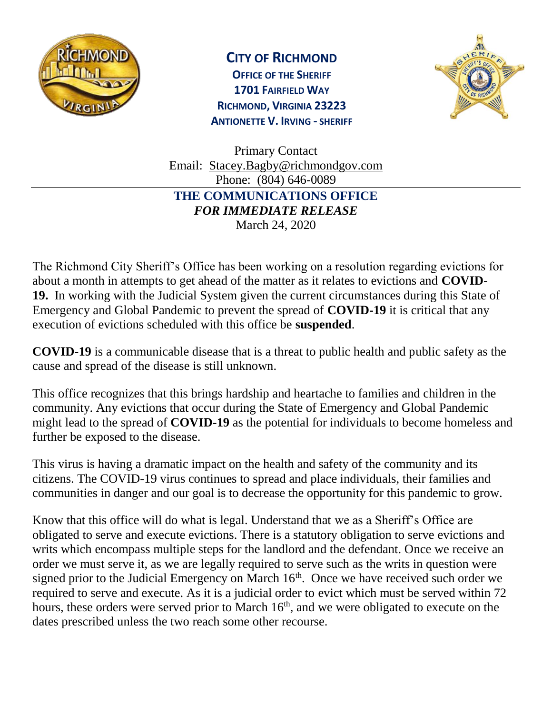

## **CITY OF RICHMOND**

**OFFICE OF THE SHERIFF 1701 FAIRFIELD WAY RICHMOND, VIRGINIA 23223 ANTIONETTE V. IRVING - SHERIFF**



Primary Contact Email: [Stacey.Bagby@richmondgov.com](mailto:Stacey.Bagby@richmondgov.com) Phone: (804) 646-0089 **THE COMMUNICATIONS OFFICE**  *FOR IMMEDIATE RELEASE* March 24, 2020

The Richmond City Sheriff's Office has been working on a resolution regarding evictions for about a month in attempts to get ahead of the matter as it relates to evictions and **COVID-19.** In working with the Judicial System given the current circumstances during this State of Emergency and Global Pandemic to prevent the spread of **COVID-19** it is critical that any execution of evictions scheduled with this office be **suspended**.

**COVID-19** is a communicable disease that is a threat to public health and public safety as the cause and spread of the disease is still unknown.

This office recognizes that this brings hardship and heartache to families and children in the community. Any evictions that occur during the State of Emergency and Global Pandemic might lead to the spread of **COVID-19** as the potential for individuals to become homeless and further be exposed to the disease.

This virus is having a dramatic impact on the health and safety of the community and its citizens. The COVID-19 virus continues to spread and place individuals, their families and communities in danger and our goal is to decrease the opportunity for this pandemic to grow.

Know that this office will do what is legal. Understand that we as a Sheriff's Office are obligated to serve and execute evictions. There is a statutory obligation to serve evictions and writs which encompass multiple steps for the landlord and the defendant. Once we receive an order we must serve it, as we are legally required to serve such as the writs in question were signed prior to the Judicial Emergency on March  $16<sup>th</sup>$ . Once we have received such order we required to serve and execute. As it is a judicial order to evict which must be served within 72 hours, these orders were served prior to March  $16<sup>th</sup>$ , and we were obligated to execute on the dates prescribed unless the two reach some other recourse.